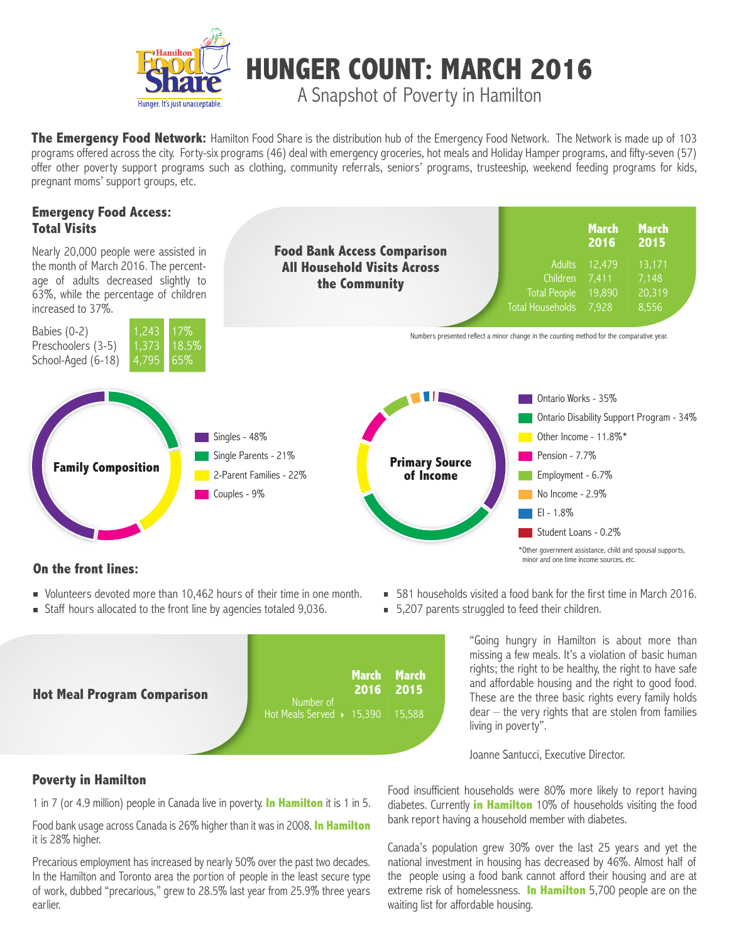

**The Emergency Food Network:** Hamilton Food Share is the distribution hub of the Emergency Food Network. The Network is made up of 103 programs offered across the city. Forty-six programs (46) deal with emergency groceries, hot meals and Holiday Hamper programs, and fifty-seven (57) offer other poverty support programs such as clothing, community referrals, seniors' programs, trusteeship, weekend feeding programs for kids, pregnant moms' support groups, etc.

# **Emergency Food Access: Total Visits**

Nearly 20,000 people were assisted in the month of March 2016. The percentage of adults decreased slightly to 63%, while the percentage of children increased to 37%.



**Food Bank Access Comparison All Household Visits Across the Community**

|                         | <b>March</b><br>2016 | <b>March</b><br>2015 |
|-------------------------|----------------------|----------------------|
| <b>Adults</b>           | 12.479               | 13,171               |
| Children                | 7.411                | 7,148                |
| <b>Total People</b>     | 19,890               | 20,319               |
| <b>Total Households</b> | 7,928                | 8.556                |

Numbers presented reflect a minor change in the counting method for the comparative year.



## **On the front lines:**

- Volunteers devoted more than 10,462 hours of their time in one month.
- Staff hours allocated to the front line by agencies totaled 9,036.
- 581 households visited a food bank for the first time in March 2016.
- 5,207 parents struggled to feed their children.



"Going hungry in Hamilton is about more than missing a few meals. It's a violation of basic human rights; the right to be healthy, the right to have safe and affordable housing and the right to good food. These are the three basic rights every family holds  $dear - the very rights that are stolen from families$ living in poverty".

minor and one time income sources, etc.

Joanne Santucci, Executive Director.

# **Poverty in Hamilton**

1 in 7 (or 4.9 million) people in Canada live in poverty. **In Hamilton** it is 1 in 5.

Food bank usage across Canada is 26% higher than it was in 2008. **In Hamilton** it is 28% higher.

Precarious employment has increased by nearly 50% over the past two decades. In the Hamilton and Toronto area the portion of people in the least secure type of work, dubbed "precarious," grew to 28.5% last year from 25.9% three years earlier.

Food insufficient households were 80% more likely to report having diabetes. Currently **in Hamilton** 10% of households visiting the food bank report having a household member with diabetes.

Canada's population grew 30% over the last 25 years and yet the national investment in housing has decreased by 46%. Almost half of the people using a food bank cannot afford their housing and are at extreme risk of homelessness. **In Hamilton** 5,700 people are on the waiting list for affordable housing.